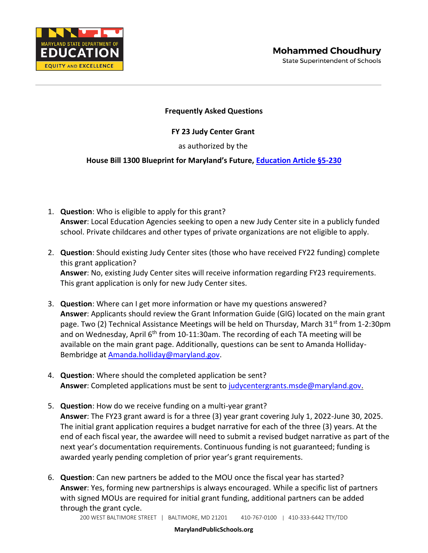

## **Frequently Asked Questions**

## **FY 23 Judy Center Grant**

as authorized by the

## **House Bill 1300 Blueprint for Maryland's Future, [Education Article §5-230](https://mgaleg.maryland.gov/mgawebsite/Laws/StatuteText?article=ged§ion=5-230&enactments=false)**

- 1. **Question**: Who is eligible to apply for this grant? **Answer**: Local Education Agencies seeking to open a new Judy Center site in a publicly funded school. Private childcares and other types of private organizations are not eligible to apply.
- 2. **Question**: Should existing Judy Center sites (those who have received FY22 funding) complete this grant application? **Answer**: No, existing Judy Center sites will receive information regarding FY23 requirements. This grant application is only for new Judy Center sites.
- 3. **Question**: Where can I get more information or have my questions answered? **Answer**: Applicants should review the Grant Information Guide (GIG) located on the main grant page. Two (2) Technical Assistance Meetings will be held on Thursday, March  $31^{st}$  from 1-2:30pm and on Wednesday, April  $6<sup>th</sup>$  from 10-11:30am. The recording of each TA meeting will be available on the main grant page. Additionally, questions can be sent to Amanda Holliday-Bembridge at [Amanda.holliday@maryland.gov.](mailto:Amanda.holliday@maryland.gov)
- 4. **Question**: Where should the completed application be sent? **Answer**: Completed applications must be sent to [judycentergrants.msde@maryland.gov.](mailto:judycentergrants.msde@maryland.gov)
- 5. **Question**: How do we receive funding on a multi-year grant? **Answer**: The FY23 grant award is for a three (3) year grant covering July 1, 2022-June 30, 2025. The initial grant application requires a budget narrative for each of the three (3) years. At the end of each fiscal year, the awardee will need to submit a revised budget narrative as part of the next year's documentation requirements. Continuous funding is not guaranteed; funding is awarded yearly pending completion of prior year's grant requirements.
- 6. **Question**: Can new partners be added to the MOU once the fiscal year has started? **Answer**: Yes, forming new partnerships is always encouraged. While a specific list of partners with signed MOUs are required for initial grant funding, additional partners can be added through the grant cycle.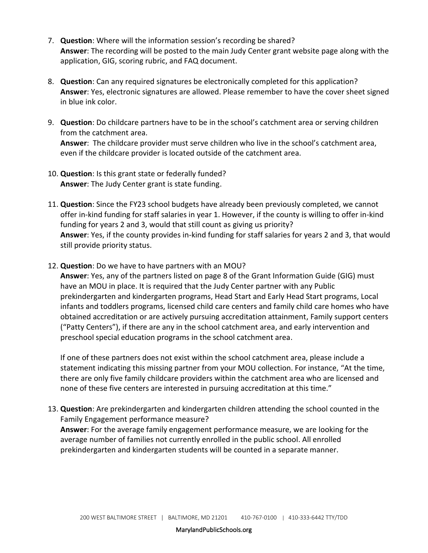- 7. **Question**: Where will the information session's recording be shared? **Answer**: The recording will be posted to the main Judy Center grant website page along with the application, GIG, scoring rubric, and FAQ document.
- 8. **Question**: Can any required signatures be electronically completed for this application? **Answer**: Yes, electronic signatures are allowed. Please remember to have the cover sheet signed in blue ink color.
- 9. **Question**: Do childcare partners have to be in the school's catchment area or serving children from the catchment area. **Answer**: The childcare provider must serve children who live in the school's catchment area, even if the childcare provider is located outside of the catchment area.
- 10. **Question**: Is this grant state or federally funded? **Answer**: The Judy Center grant is state funding.
- 11. **Question**: Since the FY23 school budgets have already been previously completed, we cannot offer in-kind funding for staff salaries in year 1. However, if the county is willing to offer in-kind funding for years 2 and 3, would that still count as giving us priority? **Answer**: Yes, if the county provides in-kind funding for staff salaries for years 2 and 3, that would still provide priority status.
- 12. **Question**: Do we have to have partners with an MOU?

**Answer**: Yes, any of the partners listed on page 8 of the Grant Information Guide (GIG) must have an MOU in place. It is required that the Judy Center partner with any Public prekindergarten and kindergarten programs, Head Start and Early Head Start programs, Local infants and toddlers programs, licensed child care centers and family child care homes who have obtained accreditation or are actively pursuing accreditation attainment, Family support centers ("Patty Centers"), if there are any in the school catchment area, and early intervention and preschool special education programs in the school catchment area.

If one of these partners does not exist within the school catchment area, please include a statement indicating this missing partner from your MOU collection. For instance, "At the time, there are only five family childcare providers within the catchment area who are licensed and none of these five centers are interested in pursuing accreditation at this time."

13. **Question**: Are prekindergarten and kindergarten children attending the school counted in the Family Engagement performance measure? **Answer**: For the average family engagement performance measure, we are looking for the average number of families not currently enrolled in the public school. All enrolled prekindergarten and kindergarten students will be counted in a separate manner.